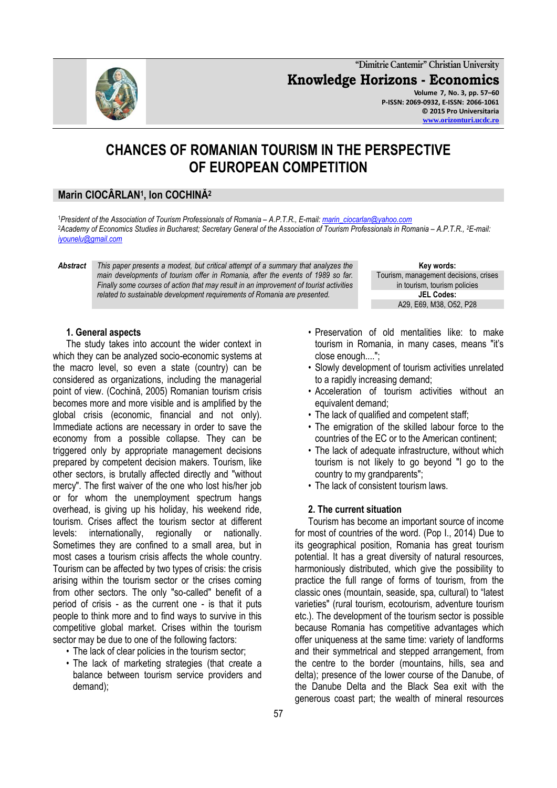**"Dimitrie Cantemir" Christian University Knowledge Horizons - Economics Volume 7, No. 3, pp. 57–60 P-ISSN: 2069-0932, E-ISSN: 2066-1061 © 2015 Pro Universitaria [www.orizonturi.ucdc.ro](http://www.orizonturi.ucdc.ro/)**

# **CHANCES OF ROMANIAN TOURISM IN THE PERSPECTIVE OF EUROPEAN COMPETITION**

## **Marin CIOCÂRLAN<sup>1</sup> , Ion COCHINĂ<sup>2</sup>**

<sup>1</sup>*President of the Association of Tourism Professionals of Romania – A.P.T.R., E-mail[: marin\\_ciocarlan@yahoo.com](mailto:marin_ciocarlan@yahoo.com)* <sup>2</sup>*Academy of Economics Studies in Bucharest; Secretary General of the Association of Tourism Professionals in Romania – A.P.T.R., <sup>2</sup>E-mail: [iyounelu@gmail.com](mailto:iyounelu@gmail.com)*

*Abstract This paper presents a modest, but critical attempt of a summary that analyzes the main developments of tourism offer in Romania, after the events of 1989 so far. Finally some courses of action that may result in an improvement of tourist activities related to sustainable development requirements of Romania are presented.*

**Key words:** Tourism, management decisions, crises in tourism, tourism policies **JEL Codes:** A29, E69, M38, O52, P28

#### **1. General aspects**

The study takes into account the wider context in which they can be analyzed socio-economic systems at the macro level, so even a state (country) can be considered as organizations, including the managerial point of view. (Cochină, 2005) Romanian tourism crisis becomes more and more visible and is amplified by the global crisis (economic, financial and not only). Immediate actions are necessary in order to save the economy from a possible collapse. They can be triggered only by appropriate management decisions prepared by competent decision makers. Tourism, like other sectors, is brutally affected directly and "without mercy". The first waiver of the one who lost his/her job or for whom the unemployment spectrum hangs overhead, is giving up his holiday, his weekend ride, tourism. Crises affect the tourism sector at different levels: internationally, regionally or nationally. Sometimes they are confined to a small area, but in most cases a tourism crisis affects the whole country. Tourism can be affected by two types of crisis: the crisis arising within the tourism sector or the crises coming from other sectors. The only "so-called" benefit of a period of crisis - as the current one - is that it puts people to think more and to find ways to survive in this competitive global market. Crises within the tourism sector may be due to one of the following factors:

- The lack of clear policies in the tourism sector;
- The lack of marketing strategies (that create a balance between tourism service providers and demand);
- Preservation of old mentalities like: to make tourism in Romania, in many cases, means "it's close enough....";
- Slowly development of tourism activities unrelated to a rapidly increasing demand;
- Acceleration of tourism activities without an equivalent demand;
- The lack of qualified and competent staff;
- The emigration of the skilled labour force to the countries of the EC or to the American continent;
- The lack of adequate infrastructure, without which tourism is not likely to go beyond "I go to the country to my grandparents";
- The lack of consistent tourism laws.

#### **2. The current situation**

Tourism has become an important source of income for most of countries of the word. (Pop I., 2014) Due to its geographical position, Romania has great tourism potential. It has a great diversity of natural resources, harmoniously distributed, which give the possibility to practice the full range of forms of tourism, from the classic ones (mountain, seaside, spa, cultural) to "latest varieties" (rural tourism, ecotourism, adventure tourism etc.). The development of the tourism sector is possible because Romania has competitive advantages which offer uniqueness at the same time: variety of landforms and their symmetrical and stepped arrangement, from the centre to the border (mountains, hills, sea and delta); presence of the lower course of the Danube, of the Danube Delta and the Black Sea exit with the generous coast part; the wealth of mineral resources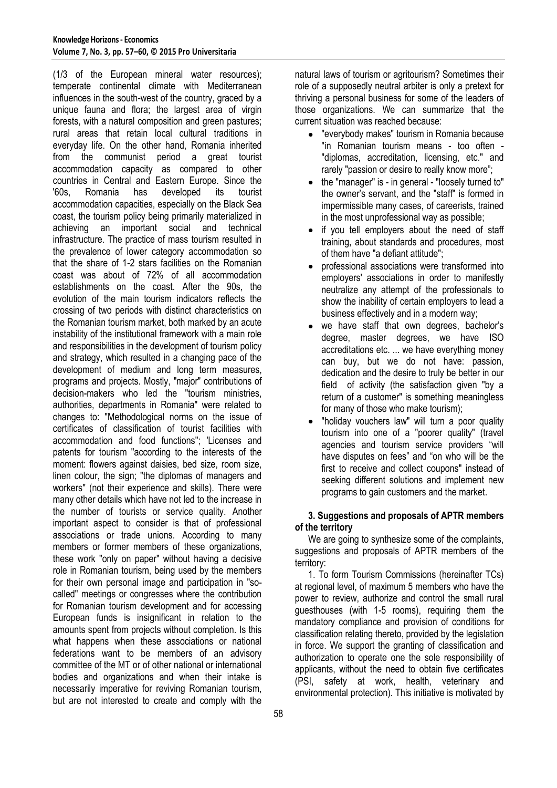(1/3 of the European mineral water resources); temperate continental climate with Mediterranean influences in the south-west of the country, graced by a unique fauna and flora; the largest area of virgin forests, with a natural composition and green pastures; rural areas that retain local cultural traditions in everyday life. On the other hand, Romania inherited from the communist period a great tourist accommodation capacity as compared to other countries in Central and Eastern Europe. Since the '60s, Romania has developed its tourist accommodation capacities, especially on the Black Sea coast, the tourism policy being primarily materialized in achieving an important social and technical infrastructure. The practice of mass tourism resulted in the prevalence of lower category accommodation so that the share of 1-2 stars facilities on the Romanian coast was about of 72% of all accommodation establishments on the coast. After the 90s, the evolution of the main tourism indicators reflects the crossing of two periods with distinct characteristics on the Romanian tourism market, both marked by an acute instability of the institutional framework with a main role and responsibilities in the development of tourism policy and strategy, which resulted in a changing pace of the development of medium and long term measures, programs and projects. Mostly, "major" contributions of decision-makers who led the "tourism ministries, authorities, departments in Romania" were related to changes to: "Methodological norms on the issue of certificates of classification of tourist facilities with accommodation and food functions"; 'Licenses and patents for tourism "according to the interests of the moment: flowers against daisies, bed size, room size, linen colour, the sign; "the diplomas of managers and workers" (not their experience and skills). There were many other details which have not led to the increase in the number of tourists or service quality. Another important aspect to consider is that of professional associations or trade unions. According to many members or former members of these organizations, these work "only on paper" without having a decisive role in Romanian tourism, being used by the members for their own personal image and participation in "socalled" meetings or congresses where the contribution for Romanian tourism development and for accessing European funds is insignificant in relation to the amounts spent from projects without completion. Is this what happens when these associations or national federations want to be members of an advisory committee of the MT or of other national or international bodies and organizations and when their intake is necessarily imperative for reviving Romanian tourism, but are not interested to create and comply with the natural laws of tourism or agritourism? Sometimes their role of a supposedly neutral arbiter is only a pretext for thriving a personal business for some of the leaders of those organizations. We can summarize that the current situation was reached because:

- "everybody makes" tourism in Romania because "in Romanian tourism means - too often - "diplomas, accreditation, licensing, etc." and rarely "passion or desire to really know more";
- the "manager" is in general "loosely turned to" the owner's servant, and the "staff" is formed in impermissible many cases, of careerists, trained in the most unprofessional way as possible;
- if you tell employers about the need of staff  $\bullet$ training, about standards and procedures, most of them have "a defiant attitude";
- professional associations were transformed into  $\bullet$ employers' associations in order to manifestly neutralize any attempt of the professionals to show the inability of certain employers to lead a business effectively and in a modern way;
- we have staff that own degrees, bachelor's degree, master degrees, we have ISO accreditations etc. ... we have everything money can buy, but we do not have: passion, dedication and the desire to truly be better in our field of activity (the satisfaction given "by a return of a customer" is something meaningless for many of those who make tourism);
- "holiday vouchers law" will turn a poor quality tourism into one of a "poorer quality" (travel agencies and tourism service providers "will have disputes on fees" and "on who will be the first to receive and collect coupons" instead of seeking different solutions and implement new programs to gain customers and the market.

## **3. Suggestions and proposals of APTR members of the territory**

We are going to synthesize some of the complaints, suggestions and proposals of APTR members of the territory:

1. To form Tourism Commissions (hereinafter TCs) at regional level, of maximum 5 members who have the power to review, authorize and control the small rural guesthouses (with 1-5 rooms), requiring them the mandatory compliance and provision of conditions for classification relating thereto, provided by the legislation in force. We support the granting of classification and authorization to operate one the sole responsibility of applicants, without the need to obtain five certificates (PSI, safety at work, health, veterinary and environmental protection). This initiative is motivated by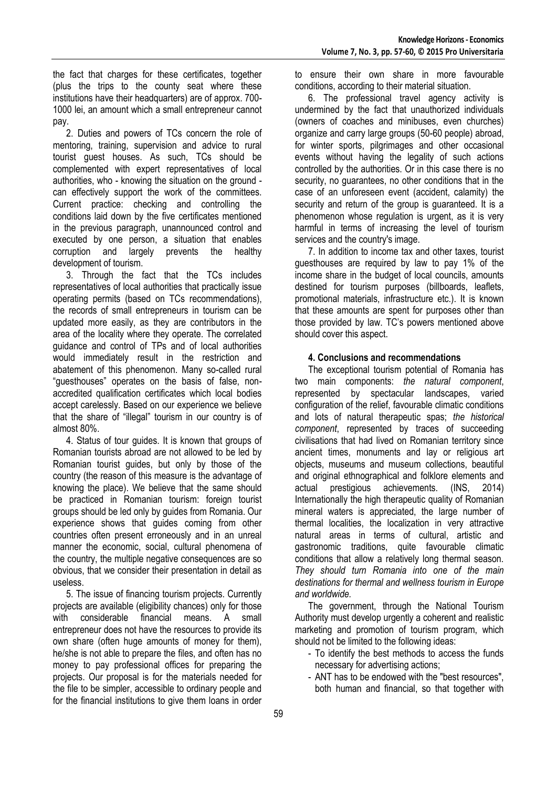the fact that charges for these certificates, together (plus the trips to the county seat where these institutions have their headquarters) are of approx. 700- 1000 lei, an amount which a small entrepreneur cannot pay.

2. Duties and powers of TCs concern the role of mentoring, training, supervision and advice to rural tourist guest houses. As such, TCs should be complemented with expert representatives of local authorities, who - knowing the situation on the ground can effectively support the work of the committees. Current practice: checking and controlling the conditions laid down by the five certificates mentioned in the previous paragraph, unannounced control and executed by one person, a situation that enables corruption and largely prevents the healthy development of tourism.

3. Through the fact that the TCs includes representatives of local authorities that practically issue operating permits (based on TCs recommendations), the records of small entrepreneurs in tourism can be updated more easily, as they are contributors in the area of the locality where they operate. The correlated guidance and control of TPs and of local authorities would immediately result in the restriction and abatement of this phenomenon. Many so-called rural "guesthouses" operates on the basis of false, nonaccredited qualification certificates which local bodies accept carelessly. Based on our experience we believe that the share of "illegal" tourism in our country is of almost 80%.

4. Status of tour guides. It is known that groups of Romanian tourists abroad are not allowed to be led by Romanian tourist guides, but only by those of the country (the reason of this measure is the advantage of knowing the place). We believe that the same should be practiced in Romanian tourism: foreign tourist groups should be led only by guides from Romania. Our experience shows that guides coming from other countries often present erroneously and in an unreal manner the economic, social, cultural phenomena of the country, the multiple negative consequences are so obvious, that we consider their presentation in detail as useless.

5. The issue of financing tourism projects. Currently projects are available (eligibility chances) only for those with considerable financial means. A small entrepreneur does not have the resources to provide its own share (often huge amounts of money for them), he/she is not able to prepare the files, and often has no money to pay professional offices for preparing the projects. Our proposal is for the materials needed for the file to be simpler, accessible to ordinary people and for the financial institutions to give them loans in order

to ensure their own share in more favourable conditions, according to their material situation.

6. The professional travel agency activity is undermined by the fact that unauthorized individuals (owners of coaches and minibuses, even churches) organize and carry large groups (50-60 people) abroad, for winter sports, pilgrimages and other occasional events without having the legality of such actions controlled by the authorities. Or in this case there is no security, no quarantees, no other conditions that in the case of an unforeseen event (accident, calamity) the security and return of the group is quaranteed. It is a phenomenon whose regulation is urgent, as it is very harmful in terms of increasing the level of tourism services and the country's image.

7. In addition to income tax and other taxes, tourist guesthouses are required by law to pay 1% of the income share in the budget of local councils, amounts destined for tourism purposes (billboards, leaflets, promotional materials, infrastructure etc.). It is known that these amounts are spent for purposes other than those provided by law. TC's powers mentioned above should cover this aspect.

### **4. Conclusions and recommendations**

The exceptional tourism potential of Romania has two main components: *the natural component*, represented by spectacular landscapes, varied configuration of the relief, favourable climatic conditions and lots of natural therapeutic spas; *the historical component*, represented by traces of succeeding civilisations that had lived on Romanian territory since ancient times, monuments and lay or religious art objects, museums and museum collections, beautiful and original ethnographical and folklore elements and actual prestigious achievements. (INS, 2014) Internationally the high therapeutic quality of Romanian mineral waters is appreciated, the large number of thermal localities, the localization in very attractive natural areas in terms of cultural, artistic and gastronomic traditions, quite favourable climatic conditions that allow a relatively long thermal season. *They should turn Romania into one of the main destinations for thermal and wellness tourism in Europe and worldwide.*

The government, through the National Tourism Authority must develop urgently a coherent and realistic marketing and promotion of tourism program, which should not be limited to the following ideas:

- To identify the best methods to access the funds necessary for advertising actions;
- ANT has to be endowed with the "best resources", both human and financial, so that together with